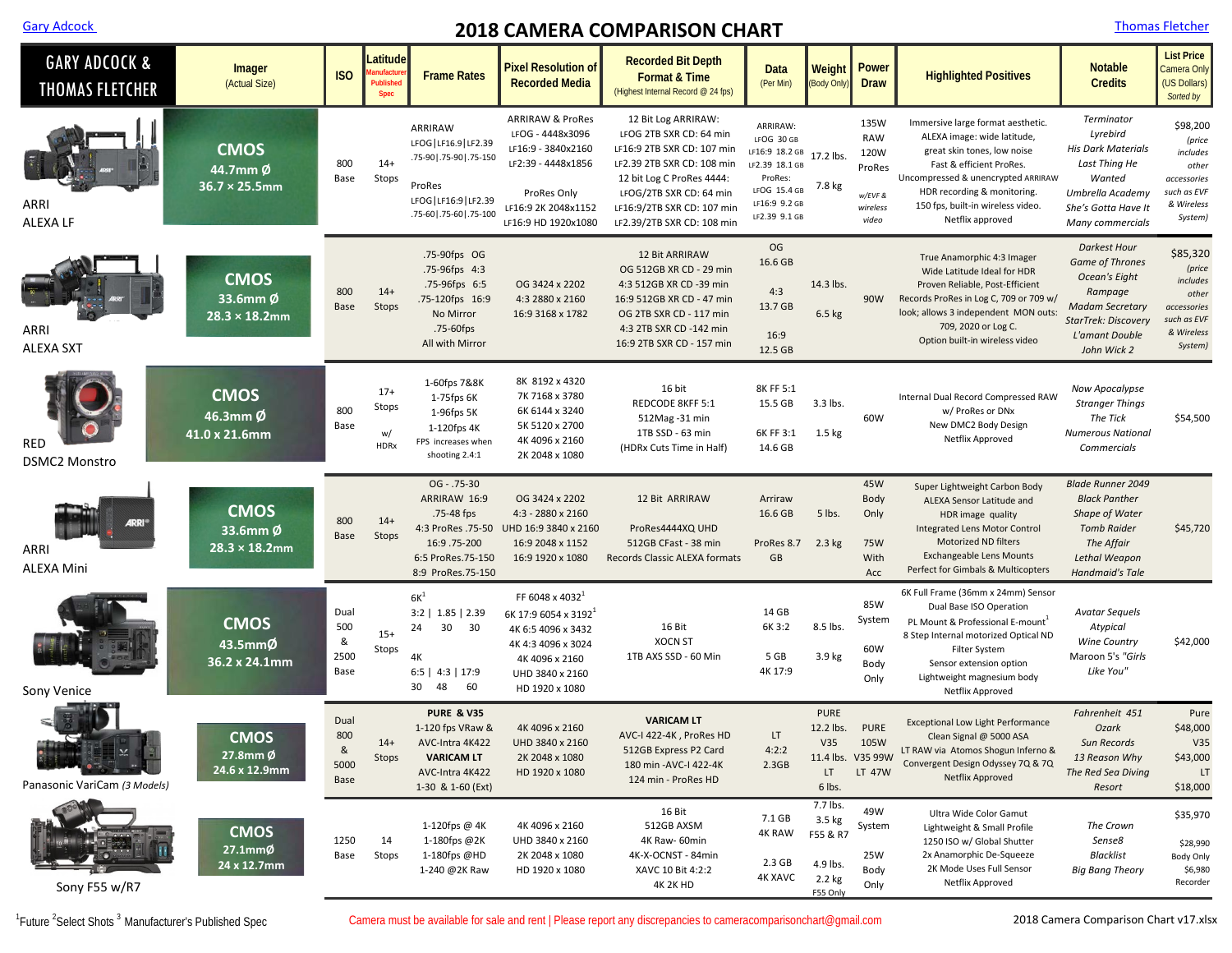## **2018 CAMERA COMPARISON CHART COMPARISON CHART**

| <b>Thomas Fletch</b> |  |  |  |
|----------------------|--|--|--|
|                      |  |  |  |

| <b>GARY ADCOCK &amp;</b><br>THOMAS FLETCHER | Imager<br>(Actual Size)                          | <b>ISO</b>                       | Latitude<br>nufactui<br>Published<br><b>Spec</b> | <b>Frame Rates</b>                                                                                                          | Pixel Resolution of<br><b>Recorded Media</b>                                                                                                                       | <b>Recorded Bit Depth</b><br><b>Format &amp; Time</b><br>(Highest Internal Record @ 24 fps)                                                                                                                                    | <b>Data</b><br>(Per Min)                                                                                                          | Weight<br>(Body Only)                                            | <b>Power</b><br><b>Draw</b>                                          | <b>Highlighted Positives</b>                                                                                                                                                                                                                              | <b>Notable</b><br><b>Credits</b>                                                                                                                                   | <b>List Price</b><br>Camera Only<br>(US Dollars)<br>Sorted by                                  |
|---------------------------------------------|--------------------------------------------------|----------------------------------|--------------------------------------------------|-----------------------------------------------------------------------------------------------------------------------------|--------------------------------------------------------------------------------------------------------------------------------------------------------------------|--------------------------------------------------------------------------------------------------------------------------------------------------------------------------------------------------------------------------------|-----------------------------------------------------------------------------------------------------------------------------------|------------------------------------------------------------------|----------------------------------------------------------------------|-----------------------------------------------------------------------------------------------------------------------------------------------------------------------------------------------------------------------------------------------------------|--------------------------------------------------------------------------------------------------------------------------------------------------------------------|------------------------------------------------------------------------------------------------|
| ARRI<br><b>ALEXALF</b>                      | <b>CMOS</b><br>44.7mm Ø<br>$36.7 \times 25.5$ mm | 800<br>Base                      | $14+$<br>Stops                                   | ARRIRAW<br>LFOG   LF16.9   LF2.39<br>.75-90   .75-90   .75-150<br>ProRes<br>LFOG   LF16:9   LF2.39<br>.75-60 .75-60 .75-100 | <b>ARRIRAW &amp; ProRes</b><br>LFOG - 4448x3096<br>LF16:9 - 3840x2160<br>LF2:39 - 4448x1856<br>ProRes Only<br>LF16:9 2K 2048x1152<br>LF16:9 HD 1920x1080           | 12 Bit Log ARRIRAW:<br>LFOG 2TB SXR CD: 64 min<br>LF16:9 2TB SXR CD: 107 min<br>LF2.39 2TB SXR CD: 108 min<br>12 bit Log C ProRes 4444:<br>LFOG/2TB SXR CD: 64 min<br>LF16:9/2TB SXR CD: 107 min<br>LF2.39/2TB SXR CD: 108 min | ARRIRAW:<br>LFOG 30 GB<br>LF16:9 18.2 GB 17.2 lbs.<br>LF2.39 18.1 GB<br>ProRes:<br>LFOG 15.4 GB<br>LF16:9 9.2 GB<br>LF2.39 9.1 GB | 7.8 kg                                                           | 135W<br><b>RAW</b><br>120W<br>ProRes<br>w/EVF &<br>wireless<br>video | Immersive large format aesthetic.<br>ALEXA image: wide latitude,<br>great skin tones, low noise<br>Fast & efficient ProRes.<br>Uncompressed & unencrypted ARRIRAW<br>HDR recording & monitoring.<br>150 fps, built-in wireless video.<br>Netflix approved | Terminator<br>Lyrebird<br><b>His Dark Materials</b><br>Last Thing He<br>Wanted<br>Umbrella Academy<br>She's Gotta Have It<br>Many commercials                      | \$98,200<br>(price<br>includes<br>other<br>accessories<br>such as EVF<br>& Wireless<br>System) |
| ARRI<br><b>ALEXA SXT</b>                    | <b>CMOS</b><br>33.6mm Ø<br>$28.3 \times 18.2$ mm | 800<br>Base                      | $14+$<br>Stops                                   | .75-90fps OG<br>.75-96fps 4:3<br>.75-96fps 6:5<br>.75-120fps 16:9<br>No Mirror<br>.75-60fps<br>All with Mirror              | OG 3424 x 2202<br>4:3 2880 x 2160<br>16:9 3168 x 1782                                                                                                              | <b>12 Bit ARRIRAW</b><br>OG 512GB XR CD - 29 min<br>4:3 512GB XR CD -39 min<br>16:9 512GB XR CD - 47 min<br>OG 2TB SXR CD - 117 min<br>4:3 2TB SXR CD -142 min<br>16:9 2TB SXR CD - 157 min                                    | OG<br>16.6 GB<br>4:3<br>13.7 GB<br>16:9<br>12.5 GB                                                                                | 14.3 lbs.<br>6.5 kg                                              | 90W                                                                  | True Anamorphic 4:3 Imager<br>Wide Latitude Ideal for HDR<br>Proven Reliable, Post-Efficient<br>Records ProRes in Log C, 709 or 709 w/<br>look; allows 3 independent MON outs:<br>709, 2020 or Log C.<br>Option built-in wireless video                   | <b>Darkest Hour</b><br><b>Game of Thrones</b><br>Ocean's Eight<br>Rampage<br><b>Madam Secretary</b><br><b>StarTrek: Discovery</b><br>L'amant Double<br>John Wick 2 | \$85,320<br>(price<br>includes<br>other<br>accessories<br>such as EVF<br>& Wireless<br>System) |
| <b>RED</b><br><b>DSMC2 Monstro</b>          | <b>CMOS</b><br>46.3mm Ø<br>41.0 x 21.6mm         | 800<br>Base                      | $17+$<br>Stops<br>w/<br><b>HDRx</b>              | 1-60fps 7&8K<br>1-75fps 6K<br>1-96fps 5K<br>1-120fps 4K<br>FPS increases when<br>shooting 2.4:1                             | 8K 8192 x 4320<br>7K 7168 x 3780<br>6K 6144 x 3240<br>5K 5120 x 2700<br>4K 4096 x 2160<br>2K 2048 x 1080                                                           | 16 bit<br>REDCODE 8KFF 5:1<br>512Mag - 31 min<br>1TB SSD - 63 min<br>(HDRx Cuts Time in Half)                                                                                                                                  | 8K FF 5:1<br>15.5 GB<br>6K FF 3:1<br>14.6 GB                                                                                      | 3.3 lbs.<br>$1.5$ kg                                             | 60W                                                                  | Internal Dual Record Compressed RAW<br>w/ ProRes or DNx<br>New DMC2 Body Design<br>Netflix Approved                                                                                                                                                       | Now Apocalypse<br><b>Stranger Things</b><br>The Tick<br><b>Numerous National</b><br>Commercials                                                                    | \$54,500                                                                                       |
| ARRI<br><b>ALEXA Mini</b>                   | <b>CMOS</b><br>33.6mm Ø<br>$28.3 \times 18.2$ mm | 800<br>Base                      | $14+$<br>Stops                                   | $OG - .75-30$<br>ARRIRAW 16:9<br>.75-48 fps<br>4:3 ProRes .75-50<br>16:9.75-200<br>6:5 ProRes.75-150<br>8:9 ProRes.75-150   | OG 3424 x 2202<br>4:3 - 2880 x 2160<br>UHD 16:9 3840 x 2160<br>16:9 2048 x 1152<br>16:9 1920 x 1080                                                                | 12 Bit ARRIRAW<br>ProRes4444XQ UHD<br>512GB CFast - 38 min<br>Records Classic ALEXA formats                                                                                                                                    | Arriraw<br>16.6 GB<br>ProRes 8.7<br>GB                                                                                            | 5 lbs.<br>$2.3$ kg                                               | 45W<br>Body<br>Only<br><b>75W</b><br>With<br>Acc                     | Super Lightweight Carbon Body<br>ALEXA Sensor Latitude and<br>HDR image quality<br>Integrated Lens Motor Control<br><b>Motorized ND filters</b><br><b>Exchangeable Lens Mounts</b><br>Perfect for Gimbals & Multicopters                                  | <b>Blade Runner 2049</b><br><b>Black Panther</b><br><b>Shape of Water</b><br><b>Tomb Raider</b><br>The Affair<br>Lethal Weapon<br><b>Handmaid's Tale</b>           | \$45,720                                                                                       |
| Sony Venice                                 | <b>CMOS</b><br>43.5mmØ<br>36.2 x 24.1mm          | Dual<br>500<br>&<br>2500<br>Base | $15+$<br>Stops                                   | $6K^1$<br>$3:2$   1.85   2.39<br>24<br>30<br>30<br>4K<br>$6:5$   $4:3$   17:9<br>60<br>30<br>48                             | FF 6048 x 4032 <sup>1</sup><br>6K 17:9 6054 x 3192 <sup>1</sup><br>4K 6:5 4096 x 3432<br>4K 4:3 4096 x 3024<br>4K 4096 x 2160<br>UHD 3840 x 2160<br>HD 1920 x 1080 | 16 Bit<br><b>XOCN ST</b><br>1TB AXS SSD - 60 Min                                                                                                                                                                               | 14 GB<br>6K 3:2<br>5 GB<br>4K 17:9                                                                                                | 8.5 lbs.<br>3.9 kg                                               | 85W<br>System<br>60W<br>Body<br>Only                                 | 6K Full Frame (36mm x 24mm) Sensor<br>Dual Base ISO Operation<br>PL Mount & Professional E-mount <sup>1</sup><br>8 Step Internal motorized Optical ND<br>Filter System<br>Sensor extension option<br>Lightweight magnesium body<br>Netflix Approved       | <b>Avatar Sequels</b><br>Atypical<br><b>Wine Country</b><br>Maroon 5's "Girls<br>Like You"                                                                         | \$42,000                                                                                       |
| Panasonic VariCam (3 Models)                | <b>CMOS</b><br>$27.8$ mm $\phi$<br>24.6 x 12.9mm | Dual<br>800<br>&<br>5000<br>Base | $14+$<br>Stops                                   | <b>PURE &amp; V35</b><br>1-120 fps VRaw &<br>AVC-Intra 4K422<br><b>VARICAM LT</b><br>AVC-Intra 4K422<br>1-30 & 1-60 (Ext)   | 4K 4096 x 2160<br>UHD 3840 x 2160<br>2K 2048 x 1080<br>HD 1920 x 1080                                                                                              | <b>VARICAM LT</b><br>AVC-I 422-4K, ProRes HD<br>512GB Express P2 Card<br>180 min - AVC-I 422-4K<br>124 min - ProRes HD                                                                                                         | LT<br>4:2:2<br>2.3GB                                                                                                              | <b>PURE</b><br>12.2 lbs.<br>V35<br>LT.<br>6 lbs.                 | <b>PURE</b><br>105W<br>11.4 lbs. V35 99W<br>LT 47W                   | <b>Exceptional Low Light Performance</b><br>Clean Signal $\omega$ 5000 ASA<br>LT RAW via Atomos Shogun Inferno &<br>Convergent Design Odyssey 7Q & 7Q<br>Netflix Approved                                                                                 | Fahrenheit 451<br>Ozark<br>Sun Records<br>13 Reason Why<br>The Red Sea Diving<br>Resort                                                                            | Pure<br>\$48,000<br>V35<br>\$43,000<br>LT.<br>\$18,000                                         |
| Sony F55 w/R7                               | <b>CMOS</b><br>$27.1mm$ Ø<br>24 x 12.7mm         | 1250<br>Base                     | 14<br>Stops                                      | 1-120fps @ 4K<br>1-180fps @2K<br>1-180fps @HD<br>1-240 @2K Raw                                                              | 4K 4096 x 2160<br>UHD 3840 x 2160<br>2K 2048 x 1080<br>HD 1920 x 1080                                                                                              | 16 Bit<br>512GB AXSM<br>4K Raw- 60min<br>4K-X-OCNST - 84min<br>XAVC 10 Bit 4:2:2<br><b>4K 2K HD</b>                                                                                                                            | 7.1 GB<br><b>4K RAW</b><br>2.3 <sub>GB</sub><br>4K XAVC                                                                           | 7.7 lbs.<br>3.5 kg<br>F55 & R7<br>4.9 lbs.<br>2.2 kg<br>F55 Only | 49W<br>System<br>25W<br>Body<br>Only                                 | Ultra Wide Color Gamut<br>Lightweight & Small Profile<br>1250 ISO w/ Global Shutter<br>2x Anamorphic De-Squeeze<br>2K Mode Uses Full Sensor<br>Netflix Approved                                                                                           | The Crown<br>Sense8<br><b>Blacklist</b><br><b>Big Bang Theory</b>                                                                                                  | \$35,970<br>\$28,990<br>Body Only<br>\$6,980<br>Recorder                                       |

<sup>1</sup>Future<sup>2</sup>

Camera must be available for sale and rent | Please report any discrepancies to camera comparisonchart@gmail.com 2018 Camera Comparison Chart v17.xlsx